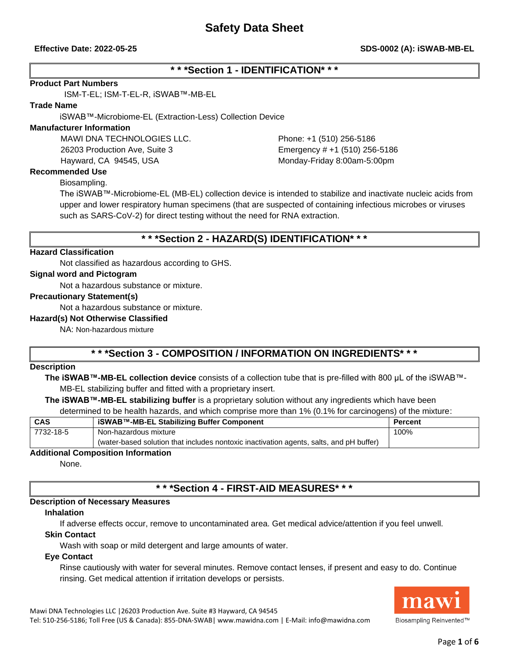# **\* \* \*Section 1 - IDENTIFICATION\* \* \***

#### **Product Part Numbers**

ISM-T-EL; ISM-T-EL-R, iSWAB™-MB-EL

#### **Trade Name**

iSWAB™-Microbiome-EL (Extraction-Less) Collection Device

#### **Manufacturer Information**

MAWI DNA TECHNOLOGIES LLC. Phone: +1 (510) 256-5186 26203 Production Ave, Suite 3 Emergency # +1 (510) 256-5186 Hayward, CA 94545, USA Monday-Friday 8:00am-5:00pm

### **Recommended Use**

Biosampling.

The iSWAB™-Microbiome-EL (MB-EL) collection device is intended to stabilize and inactivate nucleic acids from upper and lower respiratory human specimens (that are suspected of containing infectious microbes or viruses such as SARS-CoV-2) for direct testing without the need for RNA extraction.

# **\* \* \*Section 2 - HAZARD(S) IDENTIFICATION\* \* \***

#### **Hazard Classification**

Not classified as hazardous according to GHS.

#### **Signal word and Pictogram**

Not a hazardous substance or mixture.

#### **Precautionary Statement(s)**

Not a hazardous substance or mixture.

#### **Hazard(s) Not Otherwise Classified**

NA: Non-hazardous mixture

# **\* \* \*Section 3 - COMPOSITION / INFORMATION ON INGREDIENTS\* \* \***

#### **Description**

**The iSWAB™-MB-EL collection device** consists of a collection tube that is pre-filled with 800 µL of the iSWAB™- MB-EL stabilizing buffer and fitted with a proprietary insert.

**The iSWAB™-MB-EL stabilizing buffer** is a proprietary solution without any ingredients which have been determined to be health hazards, and which comprise more than 1% (0.1% for carcinogens) of the mixture:

| <b>CAS</b>                         | iSWAB™-MB-EL Stabilizing Buffer Component                                               | Percent |  |  |
|------------------------------------|-----------------------------------------------------------------------------------------|---------|--|--|
| 7732-18-5                          | Non-hazardous mixture                                                                   | 100%    |  |  |
|                                    | (water-based solution that includes nontoxic inactivation agents, salts, and pH buffer) |         |  |  |
| Additional Composition Information |                                                                                         |         |  |  |

#### **Additional Composition Information**

None.

# **\* \* \*Section 4 - FIRST-AID MEASURES\* \* \***

#### **Description of Necessary Measures**

#### **Inhalation**

If adverse effects occur, remove to uncontaminated area. Get medical advice/attention if you feel unwell.

#### **Skin Contact**

Wash with soap or mild detergent and large amounts of water.

#### **Eye Contact**

Rinse cautiously with water for several minutes. Remove contact lenses, if present and easy to do. Continue rinsing. Get medical attention if irritation develops or persists.



Mawi DNA Technologies LLC |26203 Production Ave. Suite #3 Hayward, CA 94545 Tel: 510-256-5186; Toll Free (US & Canada): 855-DNA-SWAB| www.mawidna.com | E-Mail: info@mawidna.com

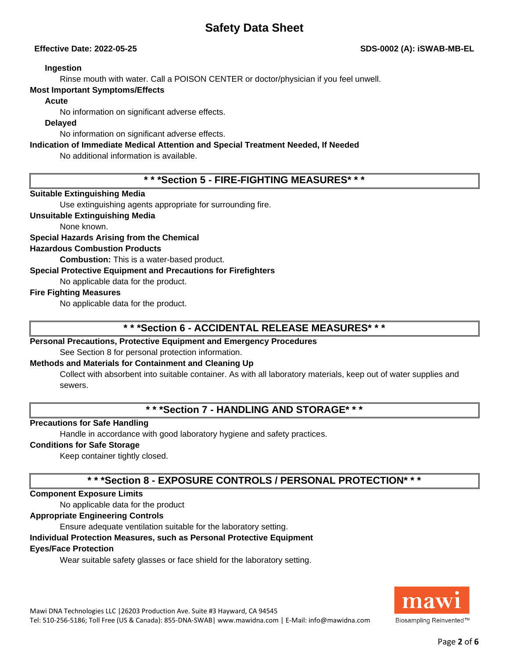#### **Ingestion**

Rinse mouth with water. Call a POISON CENTER or doctor/physician if you feel unwell.

### **Most Important Symptoms/Effects**

#### **Acute**

No information on significant adverse effects.

### **Delayed**

No information on significant adverse effects.

## **Indication of Immediate Medical Attention and Special Treatment Needed, If Needed**

No additional information is available.

**\* \* \*Section 5 - FIRE-FIGHTING MEASURES\* \* \***

# **Suitable Extinguishing Media**

Use extinguishing agents appropriate for surrounding fire.

### **Unsuitable Extinguishing Media**

None known.

### **Special Hazards Arising from the Chemical**

### **Hazardous Combustion Products**

**Combustion:** This is a water-based product.

### **Special Protective Equipment and Precautions for Firefighters**

No applicable data for the product.

#### **Fire Fighting Measures**

No applicable data for the product.

# **\* \* \*Section 6 - ACCIDENTAL RELEASE MEASURES\* \* \***

# **Personal Precautions, Protective Equipment and Emergency Procedures**

See Section 8 for personal protection information.

# **Methods and Materials for Containment and Cleaning Up**

Collect with absorbent into suitable container. As with all laboratory materials, keep out of water supplies and sewers.

# **\* \* \*Section 7 - HANDLING AND STORAGE\* \* \***

# **Precautions for Safe Handling**

Handle in accordance with good laboratory hygiene and safety practices.

#### **Conditions for Safe Storage**

Keep container tightly closed.

# **\* \* \*Section 8 - EXPOSURE CONTROLS / PERSONAL PROTECTION\* \* \***

#### **Component Exposure Limits**

No applicable data for the product

# **Appropriate Engineering Controls**

Ensure adequate ventilation suitable for the laboratory setting.

# **Individual Protection Measures, such as Personal Protective Equipment**

# **Eyes/Face Protection**

Wear suitable safety glasses or face shield for the laboratory setting.

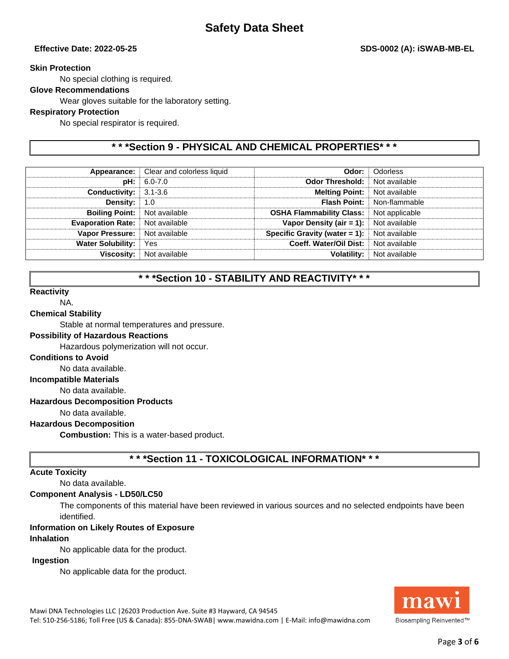### **Skin Protection**

No special clothing is required.

# **Glove Recommendations**

Wear gloves suitable for the laboratory setting.

### **Respiratory Protection**

No special respirator is required.

# **\* \* \*Section 9 - PHYSICAL AND CHEMICAL PROPERTIES\* \* \***

| Appearance:                      | Clear and colorless liquid | Odor:                            | Odorless       |
|----------------------------------|----------------------------|----------------------------------|----------------|
| pH:                              | 6.0-7.0                    | <b>Odor Threshold:</b>           | Not available  |
| <b>Conductivity:</b> $3.1 - 3.6$ |                            | <b>Melting Point:</b>            | Not available  |
| Density:                         | 1.0                        | <b>Flash Point:</b>              | Non-flammable  |
| <b>Boiling Point:</b>            | Not available              | <b>OSHA Flammability Class:</b>  | Not applicable |
| <b>Evaporation Rate:</b>         | Not available              | Vapor Density (air $= 1$ ):      | Not available  |
| <b>Vapor Pressure:</b>           | Not available              | Specific Gravity (water $= 1$ ): | Not available  |
| <b>Water Solubility:</b>         | Yes                        | Coeff. Water/Oil Dist:           | Not available  |
| <b>Viscosity:</b>                | Not available              | <b>Volatility:</b>               | Not available  |
|                                  |                            |                                  |                |

# **\* \* \*Section 10 - STABILITY AND REACTIVITY\* \* \***

#### **Reactivity**

NA.

#### **Chemical Stability**

Stable at normal temperatures and pressure.

#### **Possibility of Hazardous Reactions**

Hazardous polymerization will not occur.

#### **Conditions to Avoid**

No data available.

**Incompatible Materials**

No data available.

#### **Hazardous Decomposition Products**

No data available.

#### **Hazardous Decomposition**

**Combustion:** This is a water-based product.

# **\* \* \*Section 11 - TOXICOLOGICAL INFORMATION\* \* \***

#### **Acute Toxicity**

No data available.

#### **Component Analysis - LD50/LC50**

The components of this material have been reviewed in various sources and no selected endpoints have been identified.

#### **Information on Likely Routes of Exposure**

#### **Inhalation**

No applicable data for the product.

#### **Ingestion**

No applicable data for the product.



Mawi DNA Technologies LLC |26203 Production Ave. Suite #3 Hayward, CA 94545 Tel: 510-256-5186; Toll Free (US & Canada): 855-DNA-SWAB| www.mawidna.com | E-Mail: info@mawidna.com

# Page **3** of **6**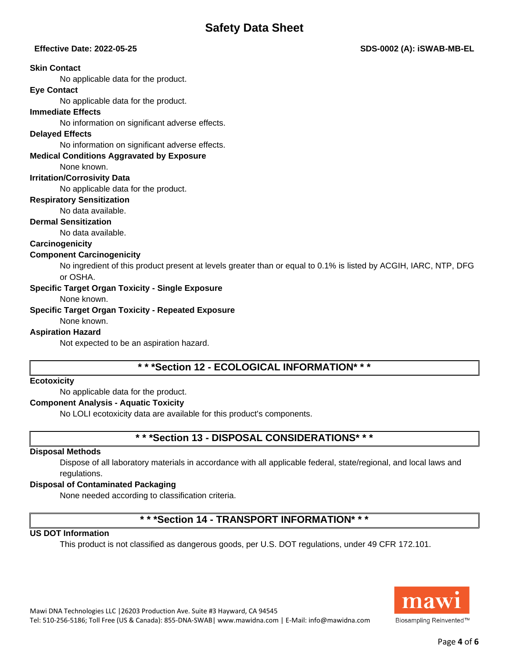## **Effective Date: 2022-05-25 SDS-0002 (A): iSWAB-MB-EL**

#### **Skin Contact**

No applicable data for the product.

#### **Eye Contact**

No applicable data for the product.

#### **Immediate Effects**

No information on significant adverse effects.

#### **Delayed Effects**

No information on significant adverse effects.

#### **Medical Conditions Aggravated by Exposure**

None known.

#### **Irritation/Corrosivity Data**

No applicable data for the product.

#### **Respiratory Sensitization**

No data available.

#### **Dermal Sensitization**

No data available.

### **Carcinogenicity**

#### **Component Carcinogenicity**

No ingredient of this product present at levels greater than or equal to 0.1% is listed by ACGIH, IARC, NTP, DFG or OSHA.

#### **Specific Target Organ Toxicity - Single Exposure**

#### None known.

#### **Specific Target Organ Toxicity - Repeated Exposure**

None known.

### **Aspiration Hazard**

Not expected to be an aspiration hazard.

# **\* \* \*Section 12 - ECOLOGICAL INFORMATION\* \* \***

#### **Ecotoxicity**

No applicable data for the product.

#### **Component Analysis - Aquatic Toxicity**

No LOLI ecotoxicity data are available for this product's components.

# **\* \* \*Section 13 - DISPOSAL CONSIDERATIONS\* \* \***

#### **Disposal Methods**

Dispose of all laboratory materials in accordance with all applicable federal, state/regional, and local laws and regulations.

## **Disposal of Contaminated Packaging**

None needed according to classification criteria.

# **\* \* \*Section 14 - TRANSPORT INFORMATION\* \* \***

# **US DOT Information**

This product is not classified as dangerous goods, per U.S. DOT regulations, under 49 CFR 172.101.

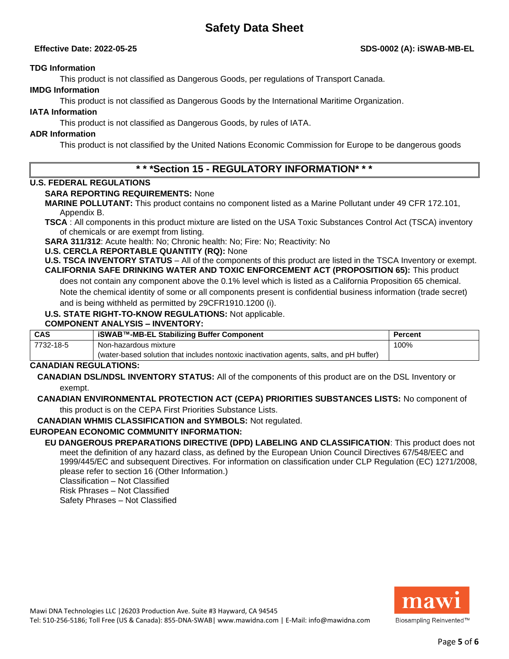## **TDG Information**

This product is not classified as Dangerous Goods, per regulations of Transport Canada.

# **IMDG Information**

This product is not classified as Dangerous Goods by the International Maritime Organization.

# **IATA Information**

This product is not classified as Dangerous Goods, by rules of IATA.

# **ADR Information**

This product is not classified by the United Nations Economic Commission for Europe to be dangerous goods

# **\* \* \*Section 15 - REGULATORY INFORMATION\* \* \***

# **U.S. FEDERAL REGULATIONS**

# **SARA REPORTING REQUIREMENTS:** None

**MARINE POLLUTANT:** This product contains no component listed as a Marine Pollutant under 49 CFR 172.101, Appendix B.

**TSCA** : All components in this product mixture are listed on the USA Toxic Substances Control Act (TSCA) inventory of chemicals or are exempt from listing.

**SARA 311/312**: Acute health: No; Chronic health: No; Fire: No; Reactivity: No

# **U.S. CERCLA REPORTABLE QUANTITY (RQ):** None

**U.S. TSCA INVENTORY STATUS** – All of the components of this product are listed in the TSCA Inventory or exempt. **CALIFORNIA SAFE DRINKING WATER AND TOXIC ENFORCEMENT ACT (PROPOSITION 65):** This product

does not contain any component above the 0.1% level which is listed as a California Proposition 65 chemical. Note the chemical identity of some or all components present is confidential business information (trade secret)

and is being withheld as permitted by 29CFR1910.1200 (i).

# **U.S. STATE RIGHT-TO-KNOW REGULATIONS:** Not applicable.

## **COMPONENT ANALYSIS – INVENTORY:**

| <b>CAS</b> | iSWAB™-MB-EL Stabilizing Buffer Component                                               | Percent |
|------------|-----------------------------------------------------------------------------------------|---------|
| 7732-18-5  | Non-hazardous mixture                                                                   | 100%    |
|            | (water-based solution that includes nontoxic inactivation agents, salts, and pH buffer) |         |

# **CANADIAN REGULATIONS:**

**CANADIAN DSL/NDSL INVENTORY STATUS:** All of the components of this product are on the DSL Inventory or exempt.

#### **CANADIAN ENVIRONMENTAL PROTECTION ACT (CEPA) PRIORITIES SUBSTANCES LISTS:** No component of this product is on the CEPA First Priorities Substance Lists.

**CANADIAN WHMIS CLASSIFICATION and SYMBOLS:** Not regulated.

# **EUROPEAN ECONOMIC COMMUNITY INFORMATION:**

**EU DANGEROUS PREPARATIONS DIRECTIVE (DPD) LABELING AND CLASSIFICATION**: This product does not meet the definition of any hazard class, as defined by the European Union Council Directives 67/548/EEC and 1999/445/EC and subsequent Directives. For information on classification under CLP Regulation (EC) 1271/2008, please refer to section 16 (Other Information.)

Classification – Not Classified

Risk Phrases – Not Classified

Safety Phrases – Not Classified